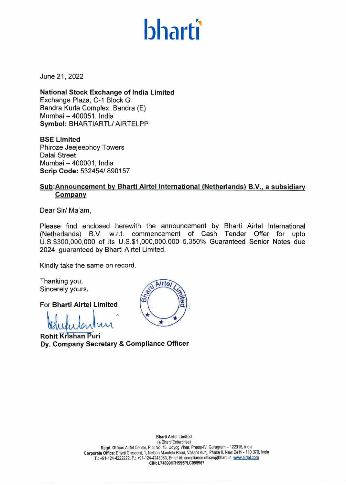# **bharti**

June 21, 2022

**National Stock Exchange of India Limited**  Exchange Plaza, C-1 Block G Bandra Kurla Complex, Bandra (E) Mumbai - 400051, India **Symbol:** BHARTIARTL/ AIRTELPP

**BSE Limited**  Phiroze Jeejeebhoy Towers Dalal Street Mumbai - 400001, India **Scrip Code:** 532454/ 890157

# **Sub:Announcement by Bharti Airtel International (Netherlands) B.V., a subsidiary Company**

Dear Sir/ Ma'am,

Please find enclosed herewith the announcement by Bharti Airtel International (Netherlands) B.V. w.r.t. commencement of Cash Tender Offer for upto U.S.\$300,000,000 of its U.S.\$1,000,000,000 5.350% Guaranteed Senior Notes due 2024, guaranteed by Bharti Airtel Limited.

Kindly take the same on record.

Thanking you, Sincerely yours,

For **Bharti Airtel Limited** 

 $\mathbf{A}$ 

**Rohit Krishan Puri** Dy. Company Secretary & Compliance Officer

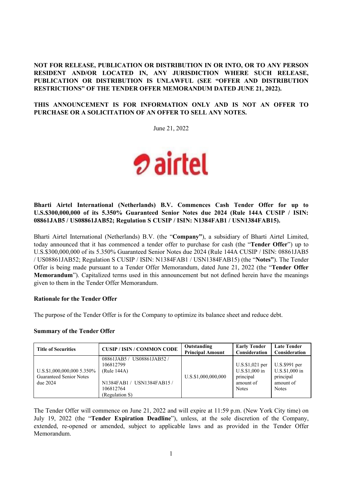# **NOT FOR RELEASE, PUBLICATION OR DISTRIBUTION IN OR INTO, OR TO ANY PERSON RESIDENT AND/OR LOCATED IN, ANY JURISDICTION WHERE SUCH RELEASE, PUBLICATION OR DISTRIBUTION IS UNLAWFUL (SEE "OFFER AND DISTRIBUTION RESTRICTIONS" OF THE TENDER OFFER MEMORANDUM DATED JUNE 21, 2022).**

## **THIS ANNOUNCEMENT IS FOR INFORMATION ONLY AND IS NOT AN OFFER TO PURCHASE OR A SOLICITATION OF AN OFFER TO SELL ANY NOTES.**

June 21, 2022



## **Bharti Airtel International (Netherlands) B.V. Commences Cash Tender Offer for up to U.S.\$300,000,000 of its 5.350% Guaranteed Senior Notes due 2024 (Rule 144A CUSIP / ISIN: 08861JAB5 / US08861JAB52; Regulation S CUSIP / ISIN: N1384FAB1 / USN1384FAB15).**

Bharti Airtel International (Netherlands) B.V. (the "**Company"**), a subsidiary of Bharti Airtel Limited, today announced that it has commenced a tender offer to purchase for cash (the "**Tender Offer**") up to U.S.\$300,000,000 of its 5.350% Guaranteed Senior Notes due 2024 (Rule 144A CUSIP / ISIN: 08861JAB5 / US08861JAB52; Regulation S CUSIP / ISIN: N1384FAB1 / USN1384FAB15) (the "**Notes"**). The Tender Offer is being made pursuant to a Tender Offer Memorandum, dated June 21, 2022 (the "**Tender Offer Memorandum**"). Capitalized terms used in this announcement but not defined herein have the meanings given to them in the Tender Offer Memorandum.

## **Rationale for the Tender Offer**

The purpose of the Tender Offer is for the Company to optimize its balance sheet and reduce debt.

## **Summary of the Tender Offer**

| <b>Title of Securities</b>                                                 | <b>CUSIP / ISIN / COMMON CODE</b>                                                                                   | Outstanding<br><b>Principal Amount</b> | <b>Early Tender</b><br><b>Consideration</b>                                       | <b>Late Tender</b><br>Consideration                                       |
|----------------------------------------------------------------------------|---------------------------------------------------------------------------------------------------------------------|----------------------------------------|-----------------------------------------------------------------------------------|---------------------------------------------------------------------------|
| U.S.\$1,000,000,000 5.350%<br><b>Guaranteed Senior Notes</b><br>due $2024$ | 08861JAB5 / US08861JAB52 /<br>106812799<br>(Rule 144A)<br>N1384FAB1 / USN1384FAB15 /<br>106812764<br>(Regulation S) | U.S.\$1,000,000,000                    | $U.S.\$ \$1,021 per<br>$U.S.S.1,000$ in<br>principal<br>amount of<br><b>Notes</b> | U.S.\$991 per<br>U.S.\$1,000 in<br>principal<br>amount of<br><b>Notes</b> |

The Tender Offer will commence on June 21, 2022 and will expire at 11:59 p.m. (New York City time) on July 19, 2022 (the "**Tender Expiration Deadline**"), unless, at the sole discretion of the Company, extended, re-opened or amended, subject to applicable laws and as provided in the Tender Offer Memorandum.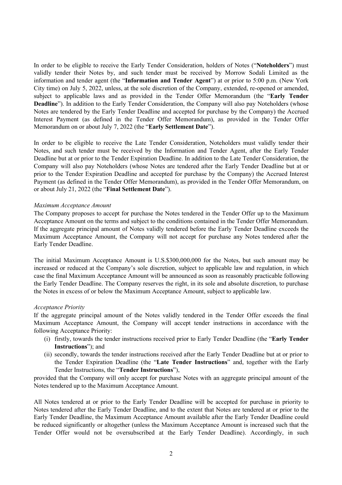In order to be eligible to receive the Early Tender Consideration, holders of Notes ("**Noteholders**") must validly tender their Notes by, and such tender must be received by Morrow Sodali Limited as the information and tender agent (the "**Information and Tender Agent**") at or prior to 5:00 p.m. (New York City time) on July 5, 2022, unless, at the sole discretion of the Company, extended, re-opened or amended, subject to applicable laws and as provided in the Tender Offer Memorandum (the "**Early Tender Deadline**"). In addition to the Early Tender Consideration, the Company will also pay Noteholders (whose Notes are tendered by the Early Tender Deadline and accepted for purchase by the Company) the Accrued Interest Payment (as defined in the Tender Offer Memorandum), as provided in the Tender Offer Memorandum on or about July 7, 2022 (the "**Early Settlement Date**").

In order to be eligible to receive the Late Tender Consideration, Noteholders must validly tender their Notes, and such tender must be received by the Information and Tender Agent, after the Early Tender Deadline but at or prior to the Tender Expiration Deadline. In addition to the Late Tender Consideration, the Company will also pay Noteholders (whose Notes are tendered after the Early Tender Deadline but at or prior to the Tender Expiration Deadline and accepted for purchase by the Company) the Accrued Interest Payment (as defined in the Tender Offer Memorandum), as provided in the Tender Offer Memorandum, on or about July 21, 2022 (the "**Final Settlement Date**").

#### *Maximum Acceptance Amount*

The Company proposes to accept for purchase the Notes tendered in the Tender Offer up to the Maximum Acceptance Amount on the terms and subject to the conditions contained in the Tender Offer Memorandum. If the aggregate principal amount of Notes validly tendered before the Early Tender Deadline exceeds the Maximum Acceptance Amount, the Company will not accept for purchase any Notes tendered after the Early Tender Deadline.

The initial Maximum Acceptance Amount is U.S.\$300,000,000 for the Notes, but such amount may be increased or reduced at the Company's sole discretion, subject to applicable law and regulation, in which case the final Maximum Acceptance Amount will be announced as soon as reasonably practicable following the Early Tender Deadline. The Company reserves the right, in its sole and absolute discretion, to purchase the Notes in excess of or below the Maximum Acceptance Amount, subject to applicable law.

#### *Acceptance Priority*

If the aggregate principal amount of the Notes validly tendered in the Tender Offer exceeds the final Maximum Acceptance Amount, the Company will accept tender instructions in accordance with the following Acceptance Priority:

- (i) firstly, towards the tender instructions received prior to Early Tender Deadline (the "**Early Tender Instructions**"); and
- (ii) secondly, towards the tender instructions received after the Early Tender Deadline but at or prior to the Tender Expiration Deadline (the "**Late Tender Instructions**" and, together with the Early Tender Instructions, the "**Tender Instructions**"),

provided that the Company will only accept for purchase Notes with an aggregate principal amount of the Notes tendered up to the Maximum Acceptance Amount.

All Notes tendered at or prior to the Early Tender Deadline will be accepted for purchase in priority to Notes tendered after the Early Tender Deadline, and to the extent that Notes are tendered at or prior to the Early Tender Deadline, the Maximum Acceptance Amount available after the Early Tender Deadline could be reduced significantly or altogether (unless the Maximum Acceptance Amount is increased such that the Tender Offer would not be oversubscribed at the Early Tender Deadline). Accordingly, in such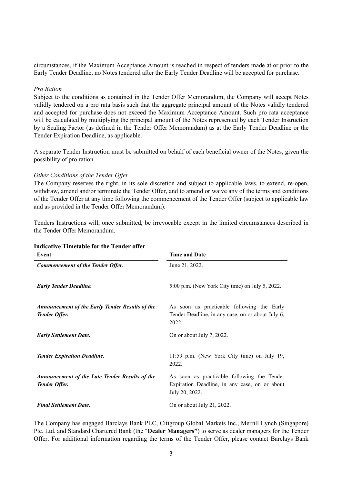circumstances, if the Maximum Acceptance Amount is reached in respect of tenders made at or prior to the Early Tender Deadline, no Notes tendered after the Early Tender Deadline will be accepted for purchase.

#### *Pro Ration*

Subject to the conditions as contained in the Tender Offer Memorandum, the Company will accept Notes validly tendered on a pro rata basis such that the aggregate principal amount of the Notes validly tendered and accepted for purchase does not exceed the Maximum Acceptance Amount. Such pro rata acceptance will be calculated by multiplying the principal amount of the Notes represented by each Tender Instruction by a Scaling Factor (as defined in the Tender Offer Memorandum) as at the Early Tender Deadline or the Tender Expiration Deadline, as applicable.

A separate Tender Instruction must be submitted on behalf of each beneficial owner of the Notes, given the possibility of pro ration.

#### *Other Conditions of the Tender Offer*

The Company reserves the right, in its sole discretion and subject to applicable laws, to extend, re-open, withdraw, amend and/or terminate the Tender Offer, and to amend or waive any of the terms and conditions of the Tender Offer at any time following the commencement of the Tender Offer (subject to applicable law and as provided in the Tender Offer Memorandum).

Tenders Instructions will, once submitted, be irrevocable except in the limited circumstances described in the Tender Offer Memorandum.

| Event                                                                         | <b>Time and Date</b>                                                                                           |  |  |
|-------------------------------------------------------------------------------|----------------------------------------------------------------------------------------------------------------|--|--|
| <b>Commencement of the Tender Offer.</b>                                      | June 21, 2022.                                                                                                 |  |  |
| <b>Early Tender Deadline.</b>                                                 | 5:00 p.m. (New York City time) on July 5, 2022.                                                                |  |  |
| <b>Announcement of the Early Tender Results of the</b><br>Tender Offer.       | As soon as practicable following the Early<br>Tender Deadline, in any case, on or about July 6,<br>2022.       |  |  |
| <b>Early Settlement Date.</b>                                                 | On or about July 7, 2022.                                                                                      |  |  |
| <b>Tender Expiration Deadline.</b>                                            | 11:59 p.m. (New York City time) on July 19,<br>2022.                                                           |  |  |
| <b>Announcement of the Late Tender Results of the</b><br><b>Tender Offer.</b> | As soon as practicable following the Tender<br>Expiration Deadline, in any case, on or about<br>July 20, 2022. |  |  |
| <b>Final Settlement Date.</b>                                                 | On or about July 21, 2022.                                                                                     |  |  |

## **Indicative Timetable for the Tender offer**

The Company has engaged Barclays Bank PLC, Citigroup Global Markets Inc., Merrill Lynch (Singapore) Pte. Ltd. and Standard Chartered Bank (the "**Dealer Managers"**) to serve as dealer managers for the Tender Offer. For additional information regarding the terms of the Tender Offer, please contact Barclays Bank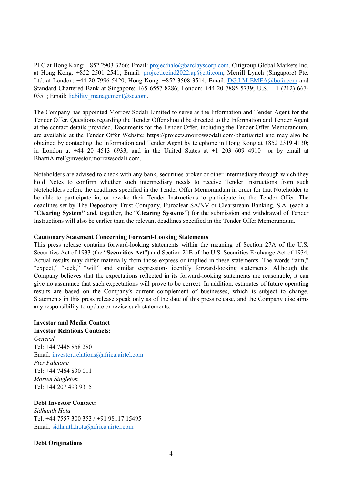PLC at Hong Kong: +852 2903 3266; Email: projecthalo@barclayscorp.com, Citigroup Global Markets Inc. at Hong Kong: +852 2501 2541; Email: projecticeind2022.ap@citi.com, Merrill Lynch (Singapore) Pte. Ltd. at London: +44 20 7996 5420; Hong Kong: +852 3508 3514; Email: DG.LM-EMEA@bofa.com and Standard Chartered Bank at Singapore: +65 6557 8286; London: +44 20 7885 5739; U.S.: +1 (212) 667- 0351; Email: liability\_management $@sc.com$ .

The Company has appointed Morrow Sodali Limited to serve as the Information and Tender Agent for the Tender Offer. Questions regarding the Tender Offer should be directed to the Information and Tender Agent at the contact details provided. Documents for the Tender Offer, including the Tender Offer Memorandum, are available at the Tender Offer Website: https://projects.morrowsodali.com/bhartiairtel and may also be obtained by contacting the Information and Tender Agent by telephone in Hong Kong at +852 2319 4130; in London at  $+44$  20 4513 6933; and in the United States at  $+1$  203 609 4910 or by email at BhartiAirtel@investor.morrowsodali.com.

Noteholders are advised to check with any bank, securities broker or other intermediary through which they hold Notes to confirm whether such intermediary needs to receive Tender Instructions from such Noteholders before the deadlines specified in the Tender Offer Memorandum in order for that Noteholder to be able to participate in, or revoke their Tender Instructions to participate in, the Tender Offer. The deadlines set by The Depository Trust Company, Euroclear SA/NV or Clearstream Banking, S.A. (each a "**Clearing System"** and, together, the "**Clearing Systems**") for the submission and withdrawal of Tender Instructions will also be earlier than the relevant deadlines specified in the Tender Offer Memorandum.

## **Cautionary Statement Concerning Forward-Looking Statements**

This press release contains forward-looking statements within the meaning of Section 27A of the U.S. Securities Act of 1933 (the "**Securities Act**") and Section 21E of the U.S. Securities Exchange Act of 1934. Actual results may differ materially from those express or implied in these statements. The words "aim," "expect," "seek," "will" and similar expressions identify forward-looking statements. Although the Company believes that the expectations reflected in its forward-looking statements are reasonable, it can give no assurance that such expectations will prove to be correct. In addition, estimates of future operating results are based on the Company's current complement of businesses, which is subject to change. Statements in this press release speak only as of the date of this press release, and the Company disclaims any responsibility to update or revise such statements.

## **Investor and Media Contact**

**Investor Relations Contacts:**  *General*  Tel: +44 7446 858 280 Email: investor.relations@africa.airtel.com *Pier Falcione*  Tel: +44 7464 830 011 *Morten Singleton*  Tel: +44 207 493 9315

## **Debt Investor Contact:**

*Sidhanth Hota* Tel: +44 7557 300 353 / +91 98117 15495 Email: sidhanth.hota@africa.airtel.com

## **Debt Originations**